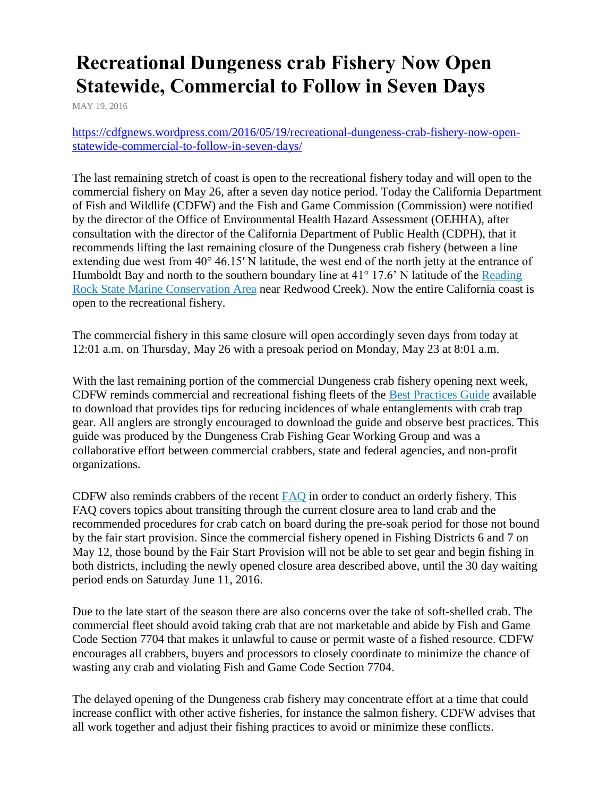## **Recreational Dungeness crab Fishery Now Open Statewide, Commercial to Follow in Seven Days**

[MAY 19, 2016](https://cdfgnews.wordpress.com/2016/05/19/recreational-dungeness-crab-fishery-now-open-statewide-commercial-to-follow-in-seven-days/)

[https://cdfgnews.wordpress.com/2016/05/19/recreational-dungeness-crab-fishery-now-open](https://cdfgnews.wordpress.com/2016/05/19/recreational-dungeness-crab-fishery-now-open-statewide-commercial-to-follow-in-seven-days/)[statewide-commercial-to-follow-in-seven-days/](https://cdfgnews.wordpress.com/2016/05/19/recreational-dungeness-crab-fishery-now-open-statewide-commercial-to-follow-in-seven-days/)

The last remaining stretch of coast is open to the recreational fishery today and will open to the commercial fishery on May 26, after a seven day notice period. Today the California Department of Fish and Wildlife (CDFW) and the Fish and Game Commission (Commission) were notified by the director of the Office of Environmental Health Hazard Assessment (OEHHA), after consultation with the director of the California Department of Public Health (CDPH), that it recommends lifting the last remaining closure of the Dungeness crab fishery (between a line extending due west from 40° 46.15′ N latitude, the west end of the north jetty at the entrance of Humboldt Bay and north to the southern boundary line at  $41^{\circ}$  17.6' N latitude of the Reading [Rock State Marine Conservation Area](https://www.wildlife.ca.gov/Conservation/Marine/MPAs/Network/Northern-California#27029474-reading-rock-state-marine-conservation-area) near Redwood Creek). Now the entire California coast is open to the recreational fishery.

The commercial fishery in this same closure will open accordingly seven days from today at 12:01 a.m. on Thursday, May 26 with a presoak period on Monday, May 23 at 8:01 a.m.

With the last remaining portion of the commercial Dungeness crab fishery opening next week, CDFW reminds commercial and recreational fishing fleets of the [Best Practices Guide](http://nrm.dfg.ca.gov/FileHandler.ashx?DocumentID=117872&inline) available to download that provides tips for reducing incidences of whale entanglements with crab trap gear. All anglers are strongly encouraged to download the guide and observe best practices. This guide was produced by the Dungeness Crab Fishing Gear Working Group and was a collaborative effort between commercial crabbers, state and federal agencies, and non-profit organizations.

CDFW also reminds crabbers of the recent [FAQ](http://nrm.dfg.ca.gov/FileHandler.ashx?DocumentID=122924&inline) in order to conduct an orderly fishery. This FAQ covers topics about transiting through the current closure area to land crab and the recommended procedures for crab catch on board during the pre-soak period for those not bound by the fair start provision. Since the commercial fishery opened in Fishing Districts 6 and 7 on May 12, those bound by the Fair Start Provision will not be able to set gear and begin fishing in both districts, including the newly opened closure area described above, until the 30 day waiting period ends on Saturday June 11, 2016.

Due to the late start of the season there are also concerns over the take of soft-shelled crab. The commercial fleet should avoid taking crab that are not marketable and abide by Fish and Game Code Section 7704 that makes it unlawful to cause or permit waste of a fished resource. CDFW encourages all crabbers, buyers and processors to closely coordinate to minimize the chance of wasting any crab and violating Fish and Game Code Section 7704.

The delayed opening of the Dungeness crab fishery may concentrate effort at a time that could increase conflict with other active fisheries, for instance the salmon fishery. CDFW advises that all work together and adjust their fishing practices to avoid or minimize these conflicts.